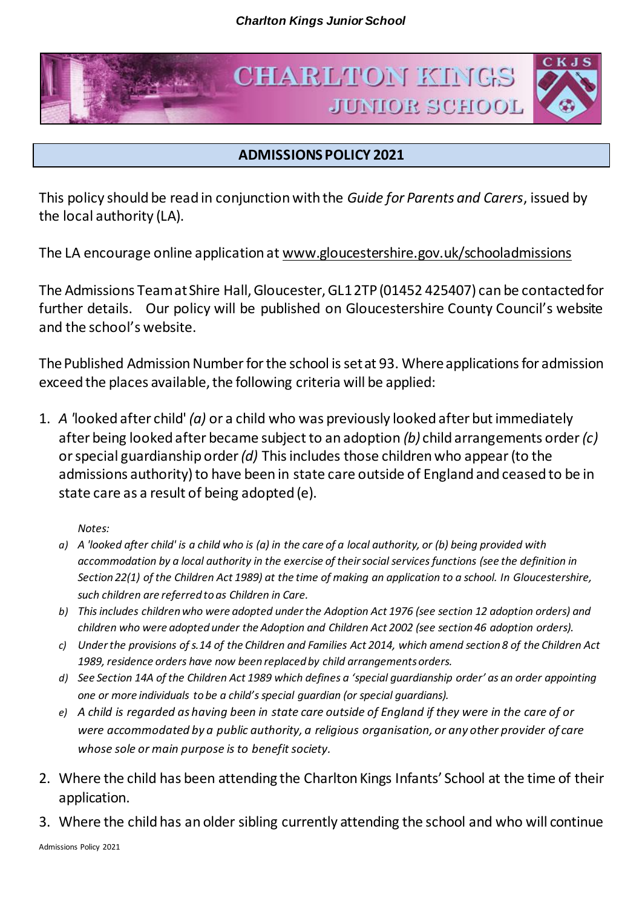



## **ADMISSIONS POLICY 2021**

This policy should be read in conjunction with the *Guide for Parents and Carers*, issued by the local authority (LA).

The LA encourage online application a[t www.gloucestershire.gov.uk/schooladmissions](http://www.gloucestershire.gov.uk/schooladmissions)

The Admissions Team at Shire Hall, Gloucester, GL1 2TP (01452 425407) can be contacted for further details. Our policy will be published on Gloucestershire County Council's website and the school's website.

The Published Admission Number for the school is set at 93. Where applications for admission exceed the places available, the following criteria will be applied:

1. *A '*looked after child' *(a)* or a child who was previously looked after but immediately after being looked after became subject to an adoption *(b)* child arrangements order*(c)*  or special guardianship order *(d)* This includes those children who appear (to the admissions authority) to have been in state care outside of England and ceased to be in state care as a result of being adopted (e).

*Notes:* 

- *a) A 'looked after child' is a child who is (a) in the care of a local authority, or (b) being provided with accommodation by a local authority in the exercise of their social services functions (see the definition in Section 22(1) of the Children Act 1989) at the time of making an application to a school. In Gloucestershire, such children are referred to as Children in Care.*
- *b) This includes children who were adopted under the Adoption Act 1976 (see section 12 adoption orders) and children who were adopted under the Adoption and Children Act 2002 (see section 46 adoption orders).*
- *c) Under the provisions of s.14 of the Children and Families Act 2014, which amend section 8 of the Children Act 1989, residence orders have now been replaced by child arrangements orders.*
- *d) See Section 14A of the Children Act 1989 which defines a 'special guardianship order' as an order appointing one or more individuals to be a child's special guardian (or special guardians).*
- *e) A child is regarded as having been in state care outside of England if they were in the care of or were accommodated by a public authority, a religious organisation, or any other provider of care whose sole or main purpose is to benefit society.*
- 2. Where the child has been attending the Charlton Kings Infants' School at the time of their application.
- 3. Where the child has an older sibling currently attending the school and who will continue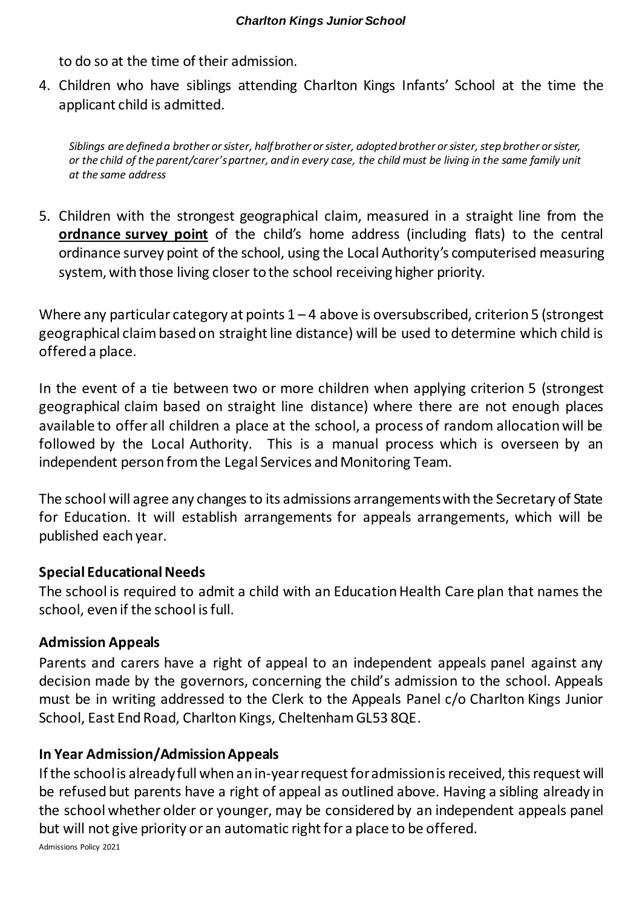to do so at the time of their admission.

4. Children who have siblings attending Charlton Kings Infants' School at the time the applicant child is admitted.

*Siblings are defined a brother or sister, half brother or sister, adopted brother or sister, step brother or sister, or the child of the parent/carer's partner, and in every case, the child must be living in the same family unit at the same address*

5. Children with the strongest geographical claim, measured in a straight line from the **ordnance survey point** of the child's home address (including flats) to the central ordinance survey point of the school, using the Local Authority's computerised measuring system, with those living closer to the school receiving higher priority.

Where any particular category at points  $1 - 4$  above is oversubscribed, criterion 5 (strongest geographical claim based on straight line distance) will be used to determine which child is offered a place.

In the event of a tie between two or more children when applying criterion 5 (strongest geographical claim based on straight line distance) where there are not enough places available to offer all children a place at the school, a process of random allocation will be followed by the Local Authority. This is a manual process which is overseen by an independent person from the Legal Services and Monitoring Team.

The school will agree any changes to its admissions arrangements with the Secretary of State for Education. It will establish arrangements for appeals arrangements, which will be published each year.

## **Special Educational Needs**

The school is required to admit a child with an Education Health Care plan that names the school, even if the school is full.

## **Admission Appeals**

Parents and carers have a right of appeal to an independent appeals panel against any decision made by the governors, concerning the child's admission to the school. Appeals must be in writing addressed to the Clerk to the Appeals Panel c/o Charlton Kings Junior School, East End Road, Charlton Kings, Cheltenham GL53 8QE.

## **In Year Admission/Admission Appeals**

Admissions Policy 2021 If the school is already full when an in-year request for admission is received, this request will be refused but parents have a right of appeal as outlined above. Having a sibling already in the school whether older or younger, may be considered by an independent appeals panel but will not give priority or an automatic right for a place to be offered.